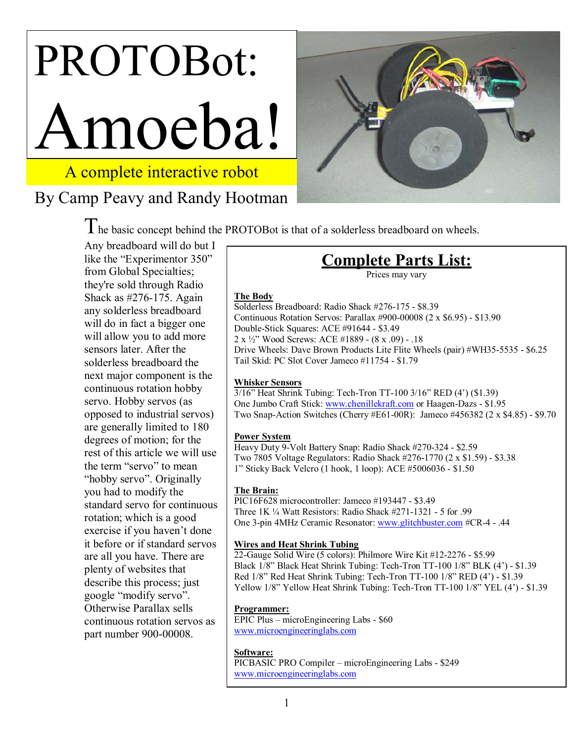# PROTOBot: moeba!

# A complete interactive robot

# By Camp Peavy and Randy Hootman



The basic concept behind the PROTOBot is that of a solderless breadboard on wheels.

Any breadboard will do but I like the "Experimentor 350" from Global Specialties; they're sold through Radio Shack as #276-175. Again any solderless breadboard will do in fact a bigger one will allow you to add more sensors later. After the solderless breadboard the next major component is the continuous rotation hobby servo. Hobby servos (as opposed to industrial servos) are generally limited to 180 degrees of motion; for the rest of this article we will use the term "servo" to mean "hobby servo". Originally you had to modify the standard servo for continuous rotation; which is a good exercise if you haven't done it before or if standard servos are all you have. There are plenty of websites that describe this process; just google "modify servo". Otherwise Parallax sells continuous rotation servos as part number 900-00008.

# **Complete Parts List:**

Prices may vary

#### **The Body**

Solderless Breadboard: Radio Shack #276-175 - \$8.39 Continuous Rotation Servos: Parallax #900-00008 (2 x \$6.95) - \$13.90 Double-Stick Squares: ACE #91644 - \$3.49 2 x ½î Wood Screws: ACE #1889 - (8 x .09) - .18 Drive Wheels: Dave Brown Products Lite Flite Wheels (pair) #WH35-5535 - \$6.25 Tail Skid: PC Slot Cover Jameco #11754 - \$1.79

#### **Whisker Sensors**

 $3/16$ <sup>"</sup> Heat Shrink Tubing: Tech-Tron TT-100  $3/16$ " RED  $(4')$  (\$1.39) One Jumbo Craft Stick: www.chenillekraft.com or Haagen-Dazs - \$1.95 Two Snap-Action Switches (Cherry #E61-00R): Jameco #456382 (2 x \$4.85) - \$9.70

#### **Power System**

Heavy Duty 9-Volt Battery Snap: Radio Shack #270-324 - \$2.59 Two 7805 Voltage Regulators: Radio Shack #276-1770 (2 x \$1.59) - \$3.38 1î Sticky Back Velcro (1 hook, 1 loop): ACE #5006036 - \$1.50

#### **The Brain:**

PIC16F628 microcontroller: Jameco #193447 - \$3.49 Three  $1K\frac{1}{4}$  Watt Resistors: Radio Shack #271-1321 - 5 for .99 One 3-pin 4MHz Ceramic Resonator: www.glitchbuster.com #CR-4 - .44

#### **Wires and Heat Shrink Tubing**

22-Gauge Solid Wire (5 colors): Philmore Wire Kit #12-2276 - \$5.99 Black 1/8" Black Heat Shrink Tubing: Tech-Tron TT-100 1/8" BLK (4') - \$1.39 Red  $1/8$ <sup>"</sup> Red Heat Shrink Tubing: Tech-Tron TT-100  $1/8$ " RED  $(4')$  - \$1.39 Yellow 1/8" Yellow Heat Shrink Tubing: Tech-Tron TT-100 1/8" YEL (4') - \$1.39

#### **Programmer:**

EPIC Plus – microEngineering Labs - \$60 www.microengineeringlabs.com

#### **Software:**

PICBASIC PRO Compiler - microEngineering Labs - \$249 www.microengineeringlabs.com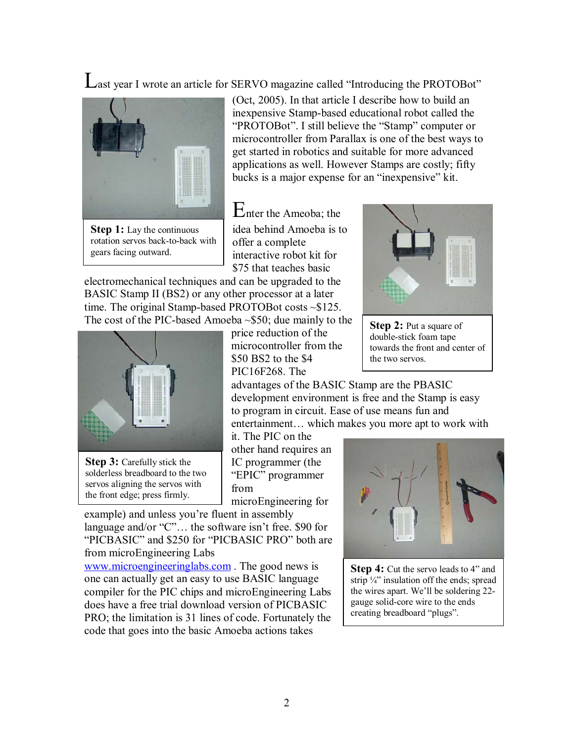Last year I wrote an article for SERVO magazine called "Introducing the PROTOBot"



**Step 1:** Lay the continuous rotation servos back-to-back with gears facing outward.

(Oct, 2005). In that article I describe how to build an inexpensive Stamp-based educational robot called the "PROTOBot". I still believe the "Stamp" computer or microcontroller from Parallax is one of the best ways to get started in robotics and suitable for more advanced applications as well. However Stamps are costly; fifty bucks is a major expense for an "inexpensive" kit.

Enter the Ameoba; the idea behind Amoeba is to offer a complete interactive robot kit for \$75 that teaches basic

electromechanical techniques and can be upgraded to the BASIC Stamp II (BS2) or any other processor at a later time. The original Stamp-based PROTOBot costs ~\$125. The cost of the PIC-based Amoeba ~\$50; due mainly to the



**Step 3:** Carefully stick the solderless breadboard to the two servos aligning the servos with the front edge; press firmly.

price reduction of the microcontroller from the \$50 BS2 to the \$4 PIC16F268. The



**Step 2:** Put a square of double-stick foam tape towards the front and center of the two servos.

advantages of the BASIC Stamp are the PBASIC development environment is free and the Stamp is easy to program in circuit. Ease of use means fun and entertainment... which makes you more apt to work with

it. The PIC on the other hand requires an IC programmer (the "EPIC" programmer from

microEngineering for

example) and unless you're fluent in assembly language and/or  $C$ . the software isn't free. \$90 for "PICBASIC" and \$250 for "PICBASIC PRO" both are from microEngineering Labs

www.microengineeringlabs.com . The good news is one can actually get an easy to use BASIC language compiler for the PIC chips and microEngineering Labs does have a free trial download version of PICBASIC PRO; the limitation is 31 lines of code. Fortunately the code that goes into the basic Amoeba actions takes



**Step 4:** Cut the servo leads to 4<sup>*n*</sup> and strip  $\frac{1}{4}$ " insulation off the ends; spread the wires apart. We'll be soldering 22gauge solid-core wire to the ends creating breadboard "plugs".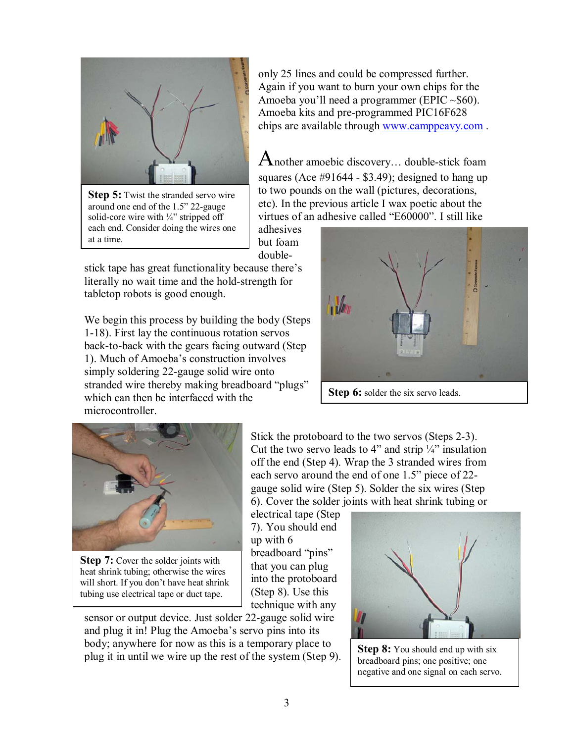

**Step 5:** Twist the stranded servo wire around one end of the  $1.5$ <sup>"</sup> 22-gauge solid-core wire with  $\frac{1}{4}$ " stripped off each end. Consider doing the wires one at a time.

only 25 lines and could be compressed further. Again if you want to burn your own chips for the Amoeba you'll need a programmer (EPIC  $\sim$ \$60). Amoeba kits and pre-programmed PIC16F628 chips are available through www.camppeavy.com .

Another amoebic discovery... double-stick foam squares (Ace  $\#91644 - $3.49$ ); designed to hang up to two pounds on the wall (pictures, decorations, etc). In the previous article I wax poetic about the virtues of an adhesive called "E60000". I still like

adhesives but foam double-

stick tape has great functionality because there's literally no wait time and the hold-strength for tabletop robots is good enough.

We begin this process by building the body (Steps 1-18). First lay the continuous rotation servos back-to-back with the gears facing outward (Step 1). Much of Amoeba's construction involves simply soldering 22-gauge solid wire onto stranded wire thereby making breadboard "plugs" which can then be interfaced with the microcontroller.



**Step 6:** solder the six servo leads.



**Step 7:** Cover the solder joints with heat shrink tubing; otherwise the wires will short. If you don't have heat shrink tubing use electrical tape or duct tape.

Stick the protoboard to the two servos (Steps 2-3). Cut the two servo leads to 4" and strip  $\frac{1}{4}$ " insulation off the end (Step 4). Wrap the 3 stranded wires from each servo around the end of one 1.5" piece of 22gauge solid wire (Step 5). Solder the six wires (Step 6). Cover the solder joints with heat shrink tubing or

electrical tape (Step 7). You should end up with 6 breadboard "pins" that you can plug into the protoboard (Step 8). Use this technique with any

sensor or output device. Just solder 22-gauge solid wire and plug it in! Plug the Amoeba's servo pins into its body; anywhere for now as this is a temporary place to body, anywhere for now as this is a temporary place to  $\left\{ \text{Step 8: You should end up with six plug it in until we wire up the rest of the system (Step 9). \right\}$ 



breadboard pins; one positive; one negative and one signal on each servo.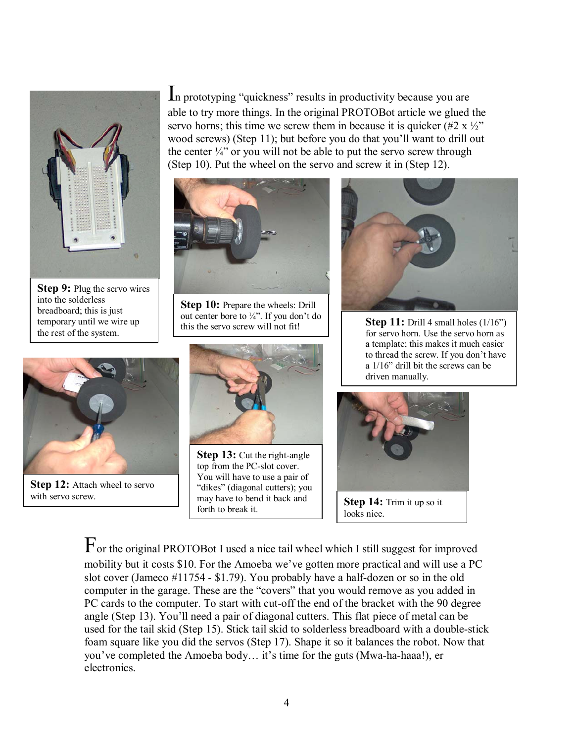

**Step 9:** Plug the servo wires into the solderless breadboard; this is just temporary until we wire up the rest of the system.

**Step 12:** Attach wheel to servo

with servo screw.



In prototyping "quickness" results in productivity because you are able to try more things. In the original PROTOBot article we glued the servo horns; this time we screw them in because it is quicker  $(\#2 \times \frac{1}{2})^n$ wood screws) (Step 11); but before you do that you'll want to drill out the center  $\frac{1}{4}$ " or you will not be able to put the servo screw through

**Step 10:** Prepare the wheels: Drill out center bore to  $\frac{1}{4}$ . If you don't do this the servo screw will not fit!



**Step 13:** Cut the right-angle top from the PC-slot cover. You will have to use a pair of "dikes" (diagonal cutters); you may have to bend it back and may have to bend it back and<br>forth to break it.



**Step 11:** Drill 4 small holes (1/16<sup>*n*</sup>)</sup> for servo horn. Use the servo horn as a template; this makes it much easier to thread the screw. If you don't have a  $1/16$ <sup>"</sup> drill bit the screws can be driven manually.



For the original PROTOBot I used a nice tail wheel which I still suggest for improved mobility but it costs \$10. For the Amoeba we've gotten more practical and will use a PC slot cover (Jameco #11754 - \$1.79). You probably have a half-dozen or so in the old computer in the garage. These are the "covers" that you would remove as you added in PC cards to the computer. To start with cut-off the end of the bracket with the 90 degree angle (Step 13). You'll need a pair of diagonal cutters. This flat piece of metal can be used for the tail skid (Step 15). Stick tail skid to solderless breadboard with a double-stick foam square like you did the servos (Step 17). Shape it so it balances the robot. Now that you've completed the Amoeba body... it's time for the guts (Mwa-ha-haaa!), er electronics.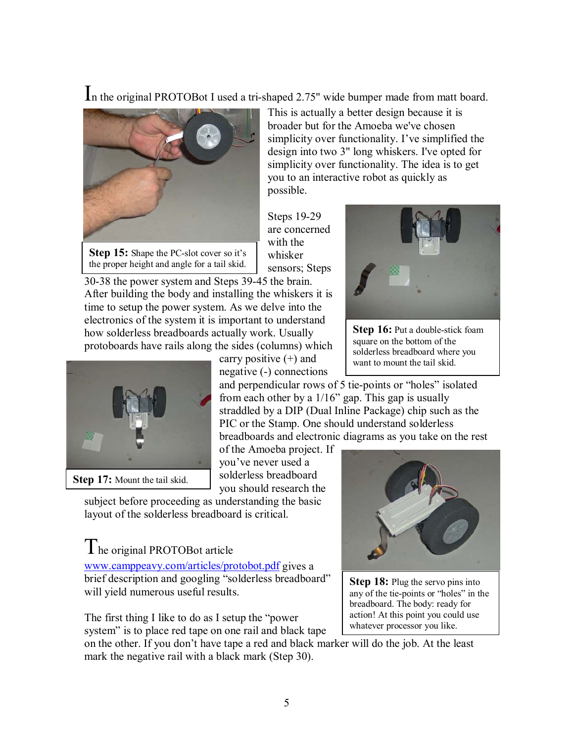In the original PROTOBot I used a tri-shaped 2.75" wide bumper made from matt board.



**Step 15:** Shape the PC-slot cover so it's the proper height and angle for a tail skid.

This is actually a better design because it is broader but for the Amoeba we've chosen simplicity over functionality. I've simplified the design into two 3" long whiskers. I've opted for simplicity over functionality. The idea is to get you to an interactive robot as quickly as possible.

Steps 19-29 are concerned with the whisker sensors; Steps

30-38 the power system and Steps 39-45 the brain. After building the body and installing the whiskers it is time to setup the power system. As we delve into the electronics of the system it is important to understand how solderless breadboards actually work. Usually protoboards have rails along the sides (columns) which



**Step 17:** Mount the tail skid.

carry positive  $(+)$  and negative (-) connections

and perpendicular rows of 5 tie-points or "holes" isolated from each other by a  $1/16$ <sup>"</sup> gap. This gap is usually straddled by a DIP (Dual Inline Package) chip such as the PIC or the Stamp. One should understand solderless breadboards and electronic diagrams as you take on the rest

of the Amoeba project. If youíve never used a solderless breadboard you should research the

subject before proceeding as understanding the basic layout of the solderless breadboard is critical.

# The original PROTOBot article

www.camppeavy.com/articles/protobot.pdf gives a brief description and googling "solderless breadboard" will yield numerous useful results.

The first thing I like to do as I setup the "power" system" is to place red tape on one rail and black tape

on the other. If you don't have tape a red and black marker will do the job. At the least mark the negative rail with a black mark (Step 30).



**Step 18:** Plug the servo pins into any of the tie-points or "holes" in the breadboard. The body: ready for action! At this point you could use whatever processor you like.



**Step 16:** Put a double-stick foam square on the bottom of the solderless breadboard where you want to mount the tail skid.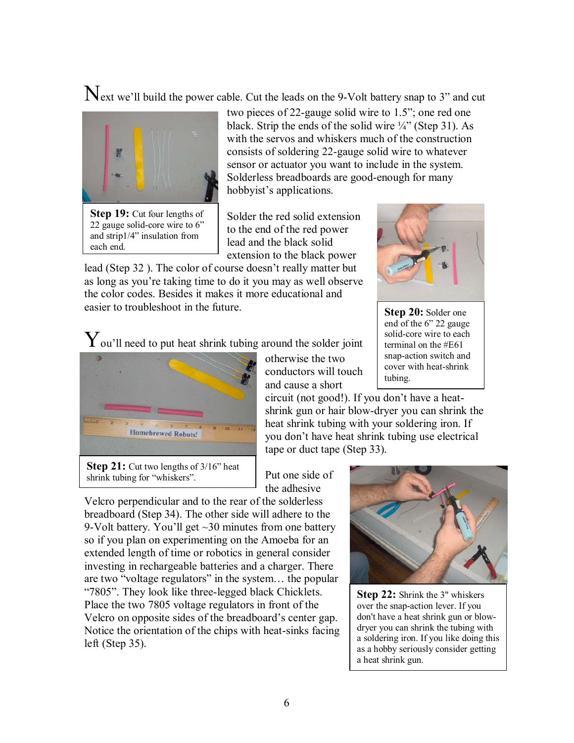$\mathbf N$ ext we'll build the power cable. Cut the leads on the 9-Volt battery snap to 3" and cut



two pieces of 22-gauge solid wire to 1.5"; one red one black. Strip the ends of the solid wire  $\frac{1}{4}$  (Step 31). As with the servos and whiskers much of the construction consists of soldering 22-gauge solid wire to whatever sensor or actuator you want to include in the system. Solderless breadboards are good-enough for many hobbyist's applications.

Solder the red solid extension to the end of the red power lead and the black solid extension to the black power

lead (Step 32). The color of course doesn't really matter but as long as you're taking time to do it you may as well observe the color codes. Besides it makes it more educational and easier to troubleshoot in the future.



**Step 20:** Solder one end of the 6" 22 gauge solid-core wire to each terminal on the #E61 snap-action switch and cover with heat-shrink tubing.

 ${\rm Y}$ ou'll need to put heat shrink tubing around the solder joint



**Step 21:** Cut two lengths of 3/16<sup>*n*</sup> heat shrink tubing for "whiskers".

otherwise the two conductors will touch and cause a short

circuit (not good!). If you don't have a heatshrink gun or hair blow-dryer you can shrink the heat shrink tubing with your soldering iron. If you don't have heat shrink tubing use electrical tape or duct tape (Step 33).

Put one side of the adhesive

Velcro perpendicular and to the rear of the solderless breadboard (Step 34). The other side will adhere to the 9-Volt battery. You'll get  $\sim$ 30 minutes from one battery so if you plan on experimenting on the Amoeba for an extended length of time or robotics in general consider investing in rechargeable batteries and a charger. There are two "voltage regulators" in the system... the popular "7805". They look like three-legged black Chicklets. Place the two 7805 voltage regulators in front of the Velcro on opposite sides of the breadboard's center gap. Notice the orientation of the chips with heat-sinks facing left (Step 35).



**Step 22:** Shrink the 3" whiskers over the snap-action lever. If you don't have a heat shrink gun or blowdryer you can shrink the tubing with a soldering iron. If you like doing this as a hobby seriously consider getting a heat shrink gun.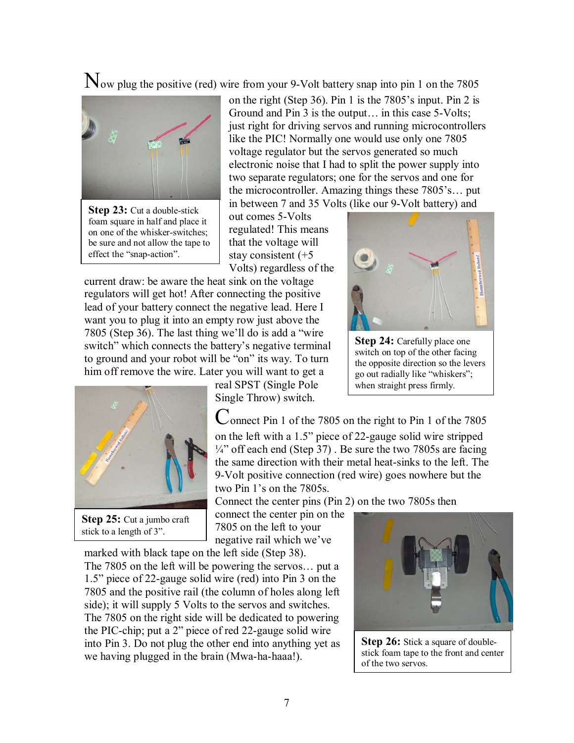$\mathbb{N}_{\text{ow plug the positive (red) wire from your 9-Volt battery snap into pin 1 on the 7805}$ 



**Step 23:** Cut a double-stick foam square in half and place it on one of the whisker-switches; be sure and not allow the tape to effect the "snap-action".

on the right (Step 36). Pin 1 is the  $7805$ 's input. Pin 2 is Ground and Pin  $3$  is the output $\ldots$  in this case 5-Volts; just right for driving servos and running microcontrollers like the PIC! Normally one would use only one 7805 voltage regulator but the servos generated so much electronic noise that I had to split the power supply into two separate regulators; one for the servos and one for the microcontroller. Amazing things these  $7805$ 's... put in between 7 and 35 Volts (like our 9-Volt battery) and

out comes 5-Volts regulated! This means that the voltage will stay consistent (+5 Volts) regardless of the

current draw: be aware the heat sink on the voltage regulators will get hot! After connecting the positive lead of your battery connect the negative lead. Here I want you to plug it into an empty row just above the 7805 (Step 36). The last thing we'll do is add a "wire" switch" which connects the battery's negative terminal to ground and your robot will be "on" its way. To turn him off remove the wire. Later you will want to get a



**Step 25:** Cut a jumbo craft stick to a length of 3".

real SPST (Single Pole Single Throw) switch.

Connect Pin 1 of the 7805 on the right to Pin 1 of the 7805 on the left with a 1.5" piece of 22-gauge solid wire stripped  $\frac{1}{4}$  off each end (Step 37). Be sure the two 7805s are facing the same direction with their metal heat-sinks to the left. The

Connect the center pins (Pin 2) on the two 7805s then

connect the center pin on the 7805 on the left to your negative rail which we've

marked with black tape on the left side (Step 38). The  $7805$  on the left will be powering the servos... put a 1.5î piece of 22-gauge solid wire (red) into Pin 3 on the 7805 and the positive rail (the column of holes along left side); it will supply 5 Volts to the servos and switches. The 7805 on the right side will be dedicated to powering the PIC-chip; put a  $2<sup>2</sup>$  piece of red 22-gauge solid wire into Pin 3. Do not plug the other end into anything yet as we having plugged in the brain (Mwa-ha-haaa!).



**Step 26:** Stick a square of doublestick foam tape to the front and center of the two servos.



**Step 24:** Carefully place one switch on top of the other facing the opposite direction so the levers go out radially like "whiskers"; when straight press firmly.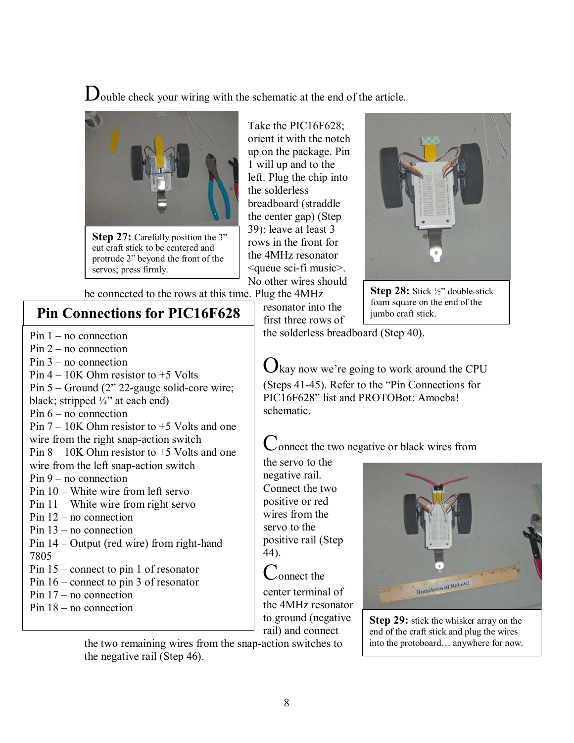Double check your wiring with the schematic at the end of the article.



**Step 27:** Carefully position the 3" cut craft stick to be centered and protrude 2" beyond the front of the servos; press firmly.

Take the PIC16F628; orient it with the notch up on the package. Pin 1 will up and to the left. Plug the chip into the solderless breadboard (straddle the center gap) (Step 39); leave at least 3 rows in the front for the 4MHz resonator <queue sci-fi music>. No other wires should

> resonator into the first three rows of



**Step 28:** Stick ½" double-stick foam square on the end of the jumbo craft stick.

be connected to the rows at this time. Plug the 4MHz

### **Pin Connections for PIC16F628**

- Pin  $1 no$  connection
- $Pin 2 no connection$
- Pin  $3$  no connection
- Pin  $4 10K$  Ohm resistor to  $+5$  Volts
- Pin  $5 -$  Ground (2" 22-gauge solid-core wire;
- black; stripped  $\frac{1}{4}$  at each end)
- Pin  $6 no$  connection
- Pin  $7 10K$  Ohm resistor to  $+5$  Volts and one wire from the right snap-action switch Pin  $8 - 10K$  Ohm resistor to  $+5$  Volts and one wire from the left snap-action switch  $Pin 9 - no connection$ Pin  $10 -$  White wire from left servo
- Pin  $11 -$  White wire from right servo
- Pin  $12$  no connection
- Pin  $13$  no connection
- Pin  $14$  Output (red wire) from right-hand 7805
- Pin  $15$  connect to pin 1 of resonator
- Pin  $16$  connect to pin 3 of resonator
- Pin  $17 no$  connection
- Pin  $18$  no connection

 $\mathbf{U}$  kay now we're going to work around the CPU (Steps  $41-45$ ). Refer to the "Pin Connections for PIC16F628" list and PROTOBot: Amoeba!

the solderless breadboard (Step 40).

Connect the two negative or black wires from

the servo to the negative rail. Connect the two positive or red wires from the servo to the positive rail (Step 44).

schematic.

Connect the center terminal of the 4MHz resonator to ground (negative rail) and connect

the two remaining wires from the snap-action switches to the negative rail (Step 46).



**Step 29:** stick the whisker array on the end of the craft stick and plug the wires into the protoboard... anywhere for now.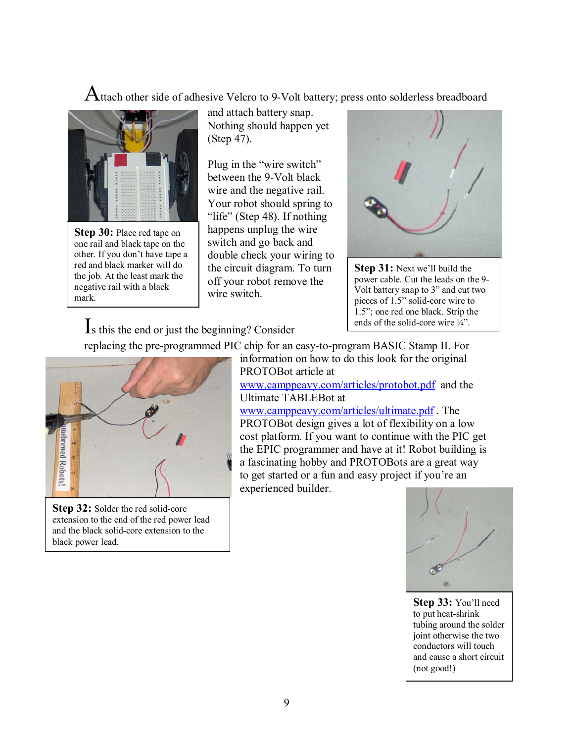Attach other side of adhesive Velcro to 9-Volt battery; press onto solderless breadboard



**Step 30:** Place red tape on one rail and black tape on the other. If you don't have tape a red and black marker will do the job. At the least mark the negative rail with a black mark.

and attach battery snap. Nothing should happen yet (Step 47).

Plug in the "wire switch" between the 9-Volt black wire and the negative rail. Your robot should spring to "life" (Step 48). If nothing happens unplug the wire switch and go back and double check your wiring to the circuit diagram. To turn off your robot remove the wire switch.

replacing the pre-programmed PIC chip for an easy-to-program BASIC Stamp II. For



**Step 31:** Next we'll build the power cable. Cut the leads on the 9- Volt battery snap to 3" and cut two pieces of 1.5" solid-core wire to 1.5î; one red one black. Strip the ends of the solid-core wire  $\frac{1}{4}$ .

Is this the end or just the beginning? Consider



**Step 32:** Solder the red solid-core extension to the end of the red power lead and the black solid-core extension to the black power lead.

information on how to do this look for the original PROTOBot article at

www.camppeavy.com/articles/protobot.pdf and the Ultimate TABLEBot at

www.camppeavy.com/articles/ultimate.pdf . The PROTOBot design gives a lot of flexibility on a low cost platform. If you want to continue with the PIC get the EPIC programmer and have at it! Robot building is a fascinating hobby and PROTOBots are a great way to get started or a fun and easy project if you're an experienced builder.

Æ

**Step 33: You'll need** to put heat-shrink tubing around the solder joint otherwise the two conductors will touch and cause a short circuit (not good!)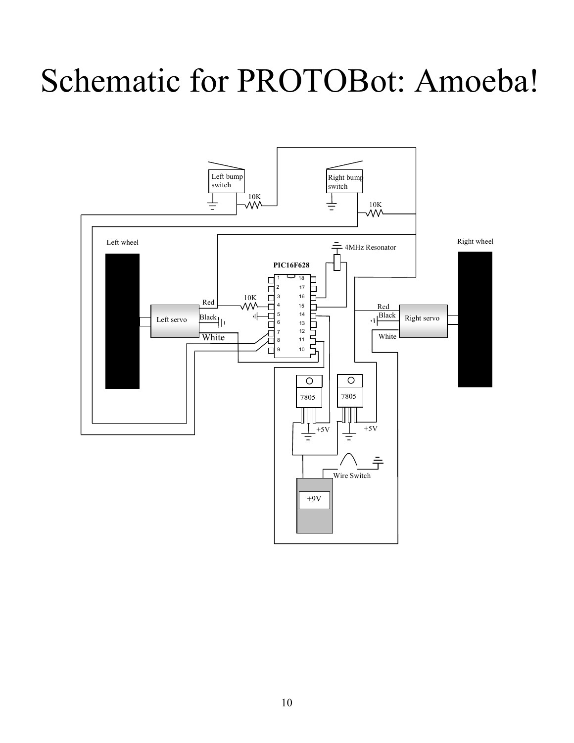# Schematic for PROTOBot: Amoeba!

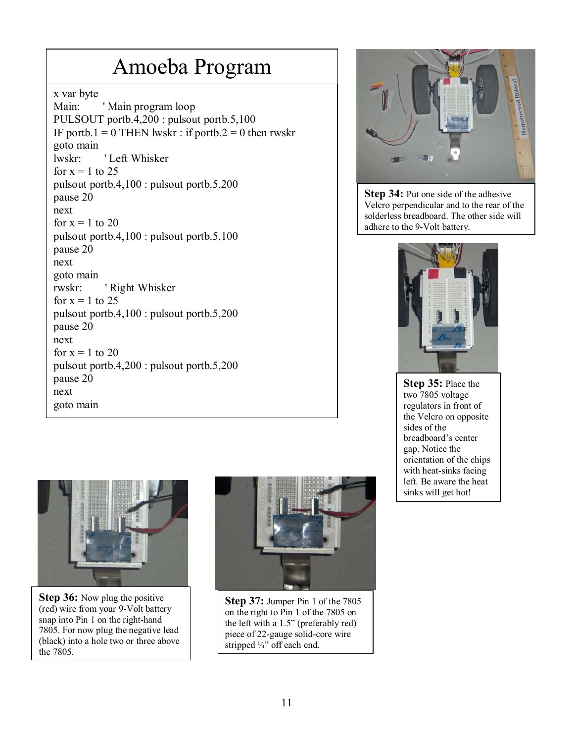# Amoeba Program

x var byte

Main: 'Main program loop PULSOUT portb.4,200 : pulsout portb.5,100 IF portb.1 = 0 THEN lwskr : if portb.2 = 0 then rwskr goto main lwskr: ' Left Whisker for  $x = 1$  to 25 pulsout portb.4,100 : pulsout portb.5,200 pause 20 next for  $x = 1$  to 20 pulsout portb.4,100 : pulsout portb.5,100 pause 20 next goto main rwskr: ' Right Whisker for  $x = 1$  to 25 pulsout portb.4,100 : pulsout portb.5,200 pause 20 next for  $x = 1$  to 20 pulsout portb.4,200 : pulsout portb.5,200 pause 20 next goto main



**Step 36:** Now plug the positive (red) wire from your 9-Volt battery snap into Pin 1 on the right-hand 7805. For now plug the negative lead (black) into a hole two or three above the 7805.



**Step 37:** Jumper Pin 1 of the 7805 on the right to Pin 1 of the 7805 on the left with a  $1.5$ " (preferably red) piece of 22-gauge solid-core wire stripped 1/4" off each end.



**Step 34:** Put one side of the adhesive Velcro perpendicular and to the rear of the solderless breadboard. The other side will adhere to the 9-Volt battery.



**Step 35:** Place the two 7805 voltage regulators in front of the Velcro on opposite sides of the breadboard's center gap. Notice the orientation of the chips with heat-sinks facing left. Be aware the heat sinks will get hot!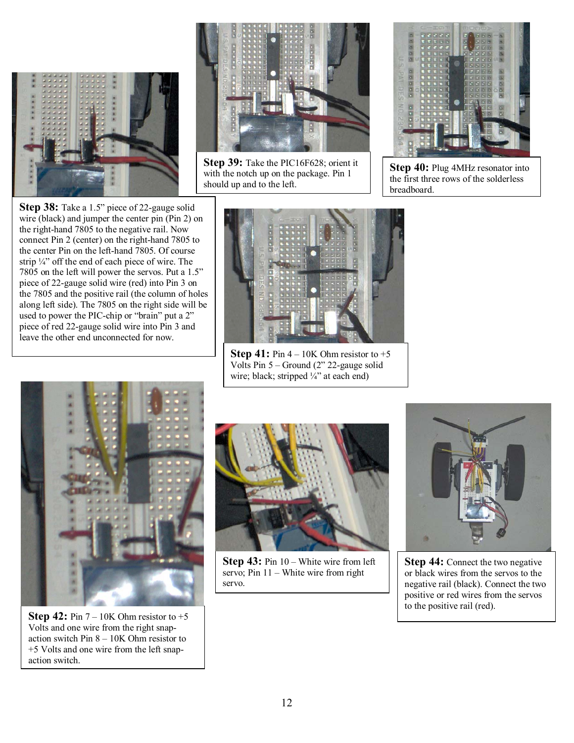



**Step 39:** Take the PIC16F628; orient it with the notch up on the package. Pin 1 should up and to the left.



Step 40: Plug 4MHz resonator into the first three rows of the solderless breadboard.

**Step 38:** Take a 1.5" piece of 22-gauge solid wire (black) and jumper the center pin (Pin 2) on the right-hand 7805 to the negative rail. Now connect Pin 2 (center) on the right-hand 7805 to the center Pin on the left-hand 7805. Of course strip  $\frac{1}{4}$  off the end of each piece of wire. The 7805 on the left will power the servos. Put a 1.5" piece of 22-gauge solid wire (red) into Pin 3 on the 7805 and the positive rail (the column of holes along left side). The 7805 on the right side will be used to power the PIC-chip or "brain" put a 2" piece of red 22-gauge solid wire into Pin 3 and leave the other end unconnected for now.



**Step 41:** Pin  $4 - 10K$  Ohm resistor to  $+5$ Volts Pin  $5 -$  Ground (2" 22-gauge solid wire; black; stripped  $\frac{1}{4}$  at each end)



**Step 42:** Pin  $7 - 10K$  Ohm resistor to  $+5$ Volts and one wire from the right snapaction switch Pin  $8 - 10K$  Ohm resistor to +5 Volts and one wire from the left snapaction switch.



**Step 43:** Pin 10 – White wire from left servo; Pin  $11 -$  White wire from right servo.



**Step 44:** Connect the two negative or black wires from the servos to the negative rail (black). Connect the two positive or red wires from the servos to the positive rail (red).